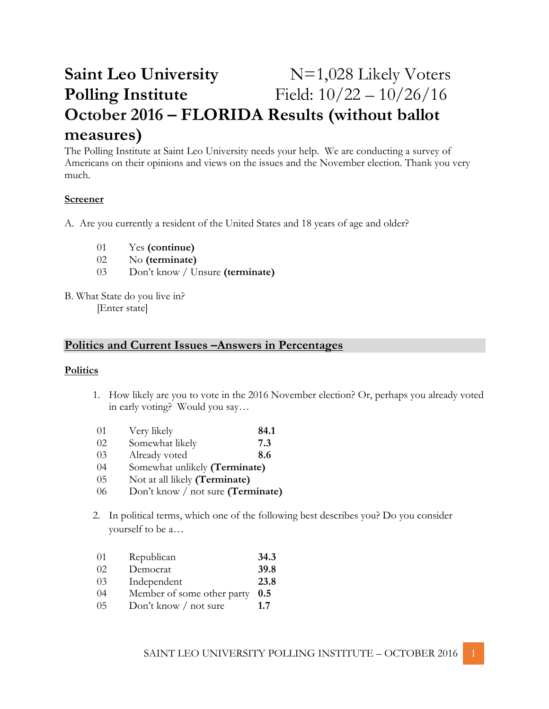# **Saint Leo University**  $N=1,028$  Likely Voters **Polling Institute** Field:  $10/22 - 10/26/16$ **October 2016 – FLORIDA Results (without ballot measures)**

The Polling Institute at Saint Leo University needs your help. We are conducting a survey of Americans on their opinions and views on the issues and the November election. Thank you very much.

### **Screener**

A. Are you currently a resident of the United States and 18 years of age and older?

- 01 Yes **(continue)**
- 02 No **(terminate)**
- 03 Don't know / Unsure **(terminate)**
- B. What State do you live in? [Enter state]

# **Politics and Current Issues –Answers in Percentages**

#### **Politics**

- 1. How likely are you to vote in the 2016 November election? Or, perhaps you already voted in early voting? Would you say…
- 01 Very likely **84.1**
- 02 Somewhat likely **7.3**
- 03 Already voted **8.6**
- 04 Somewhat unlikely **(Terminate)**
- 05 Not at all likely **(Terminate)**
- 06 Don't know / not sure **(Terminate)**
- 2. In political terms, which one of the following best describes you? Do you consider yourself to be a…
- 01 Republican **34.3**
- 02 Democrat **39.8**
- 03 Independent **23.8**
- 04 Member of some other party **0.5**
- 05 Don't know / not sure **1.7**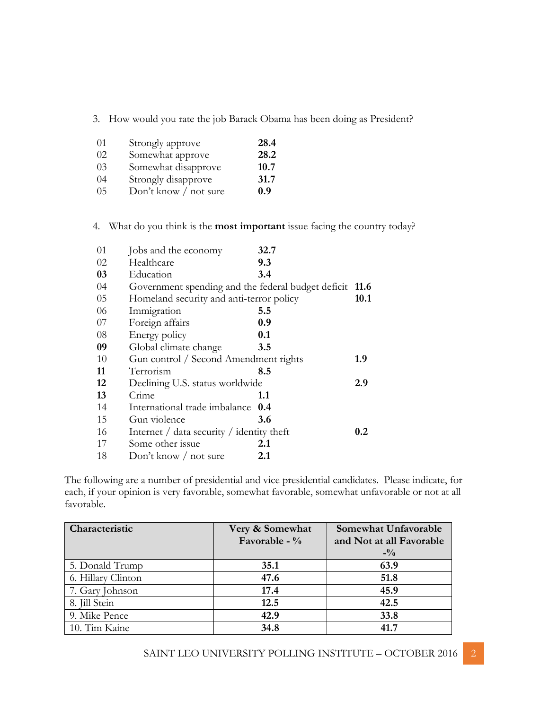3. How would you rate the job Barack Obama has been doing as President?

| 01  | Strongly approve      | 28.4 |
|-----|-----------------------|------|
| 02. | Somewhat approve      | 28.2 |
| 03  | Somewhat disapprove   | 10.7 |
| 04  | Strongly disapprove   | 31.7 |
| 05  | Don't know / not sure | 0.9  |

4. What do you think is the **most important** issue facing the country today?

| 01 | Jobs and the economy                                              | 32.7 |         |
|----|-------------------------------------------------------------------|------|---------|
| 02 | Healthcare                                                        | 9.3  |         |
| 03 | Education                                                         | 3.4  |         |
| 04 | Government spending and the federal budget deficit 11.6           |      |         |
| 05 | Homeland security and anti-terror policy                          |      | 10.1    |
| 06 | Immigration                                                       | 5.5  |         |
| 07 | Foreign affairs                                                   | 0.9  |         |
| 08 | Energy policy                                                     | 0.1  |         |
| 09 | Global climate change                                             | 3.5  |         |
| 10 | Gun control / Second Amendment rights                             |      | 1.9     |
| 11 | Terrorism                                                         | 8.5  |         |
| 12 | Declining U.S. status worldwide                                   |      | 2.9     |
| 13 | Crime                                                             | 1.1  |         |
| 14 | International trade imbalance                                     | 0.4  |         |
| 15 | Gun violence                                                      | 3.6  |         |
| 16 | Internet $\frac{1}{4}$ data security $\frac{1}{4}$ identity theft |      | $0.2\,$ |
| 17 | Some other issue                                                  | 2.1  |         |
| 18 | Don't know $/$ not sure                                           | 2.1  |         |

The following are a number of presidential and vice presidential candidates. Please indicate, for each, if your opinion is very favorable, somewhat favorable, somewhat unfavorable or not at all favorable.

| Characteristic     | Very & Somewhat | Somewhat Unfavorable     |
|--------------------|-----------------|--------------------------|
|                    | Favorable - %   | and Not at all Favorable |
|                    |                 | $-1/2$                   |
| 5. Donald Trump    | 35.1            | 63.9                     |
| 6. Hillary Clinton | 47.6            | 51.8                     |
| 7. Gary Johnson    | 17.4            | 45.9                     |
| 8. Jill Stein      | 12.5            | 42.5                     |
| 9. Mike Pence      | 42.9            | 33.8                     |
| 10. Tim Kaine      | 34.8            | 41.7                     |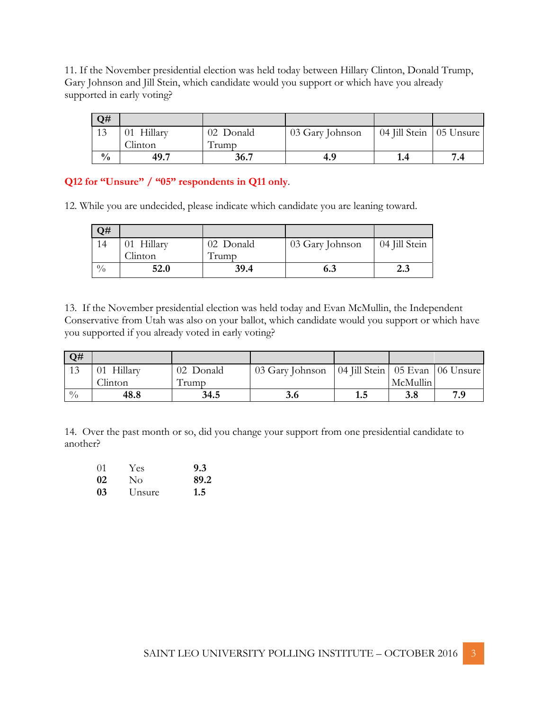11. If the November presidential election was held today between Hillary Clinton, Donald Trump, Gary Johnson and Jill Stein, which candidate would you support or which have you already supported in early voting?

| Q#            |            |           |                 |                           |  |
|---------------|------------|-----------|-----------------|---------------------------|--|
|               | 01 Hillary | 02 Donald | 03 Gary Johnson | 04 Jill Stein   05 Unsure |  |
|               | Clinton    | l rumo    |                 |                           |  |
| $\frac{0}{0}$ | 49.7       | 36.7      | 4.9             |                           |  |

**Q12 for "Unsure" / "05" respondents in Q11 only**.

12. While you are undecided, please indicate which candidate you are leaning toward.

| Q#            |            |           |                 |               |
|---------------|------------|-----------|-----------------|---------------|
| 14            | 01 Hillary | 02 Donald | 03 Gary Johnson | 04 Jill Stein |
|               | Clinton    | l rump    |                 |               |
| $\frac{0}{0}$ | 52.0       | 39.4      | 6.3             | 2.3           |

13. If the November presidential election was held today and Evan McMullin, the Independent Conservative from Utah was also on your ballot, which candidate would you support or which have you supported if you already voted in early voting?

| Q#          |            |           |                 |                                     |          |     |
|-------------|------------|-----------|-----------------|-------------------------------------|----------|-----|
| 13          | 01 Hillary | 02 Donald | 03 Gary Johnson | 04 Jill Stein   05 Evan   06 Unsure |          |     |
|             | Clinton    | l rumo    |                 |                                     | McMullin |     |
| $^{0}/_{0}$ | 48.8       | 34.5      | 3.6             | 1.J                                 | 3.8      | 7.9 |

14. Over the past month or so, did you change your support from one presidential candidate to another?

| $\Omega$ 1 | <b>Yes</b>     | 9.3  |
|------------|----------------|------|
| 02         | $\overline{N}$ | 89.2 |
| 03         | Unsure         | 1.5  |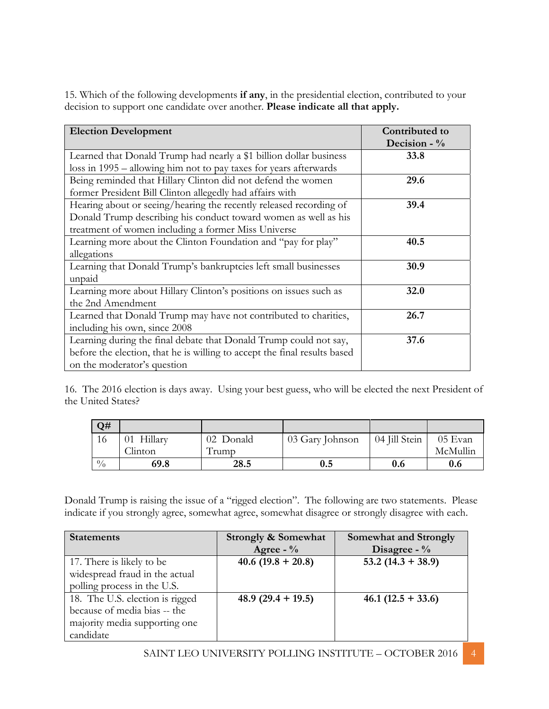15. Which of the following developments **if any**, in the presidential election, contributed to your decision to support one candidate over another. **Please indicate all that apply.**

| <b>Election Development</b>                                               | Contributed to<br>Decision - $\%$ |
|---------------------------------------------------------------------------|-----------------------------------|
| Learned that Donald Trump had nearly a \$1 billion dollar business        | 33.8                              |
| loss in 1995 – allowing him not to pay taxes for years afterwards         |                                   |
| Being reminded that Hillary Clinton did not defend the women              | 29.6                              |
| former President Bill Clinton allegedly had affairs with                  |                                   |
| Hearing about or seeing/hearing the recently released recording of        | 39.4                              |
| Donald Trump describing his conduct toward women as well as his           |                                   |
| treatment of women including a former Miss Universe                       |                                   |
| Learning more about the Clinton Foundation and "pay for play"             | 40.5                              |
| allegations                                                               |                                   |
| Learning that Donald Trump's bankruptcies left small businesses           | 30.9                              |
| unpaid                                                                    |                                   |
| Learning more about Hillary Clinton's positions on issues such as         | 32.0                              |
| the 2nd Amendment                                                         |                                   |
| Learned that Donald Trump may have not contributed to charities,          | 26.7                              |
| including his own, since 2008                                             |                                   |
| Learning during the final debate that Donald Trump could not say,         | 37.6                              |
| before the election, that he is willing to accept the final results based |                                   |
| on the moderator's question                                               |                                   |

16. The 2016 election is days away. Using your best guess, who will be elected the next President of the United States?

| Q#          |            |                      |                 |               |          |
|-------------|------------|----------------------|-----------------|---------------|----------|
| 16          | 01 Hillary | 02 Donald            | 03 Gary Johnson | 04 Jill Stein | 05 Evan  |
|             | Clinton    | $\sqrt{1}$<br>l rump |                 |               | McMullin |
| $^{0}/_{0}$ | 69.8       | 28.5                 | $\rm 0.5$       | 0.6           | 0.6      |

Donald Trump is raising the issue of a "rigged election". The following are two statements. Please indicate if you strongly agree, somewhat agree, somewhat disagree or strongly disagree with each.

| <b>Statements</b>               | <b>Strongly &amp; Somewhat</b> | <b>Somewhat and Strongly</b> |
|---------------------------------|--------------------------------|------------------------------|
|                                 | Agree - $\%$                   | Disagree - $\%$              |
| 17. There is likely to be       | $40.6(19.8 + 20.8)$            | $53.2(14.3 + 38.9)$          |
| widespread fraud in the actual  |                                |                              |
| polling process in the U.S.     |                                |                              |
| 18. The U.S. election is rigged | 48.9 $(29.4 + 19.5)$           | $46.1(12.5 + 33.6)$          |
| because of media bias -- the    |                                |                              |
| majority media supporting one   |                                |                              |
| candidate                       |                                |                              |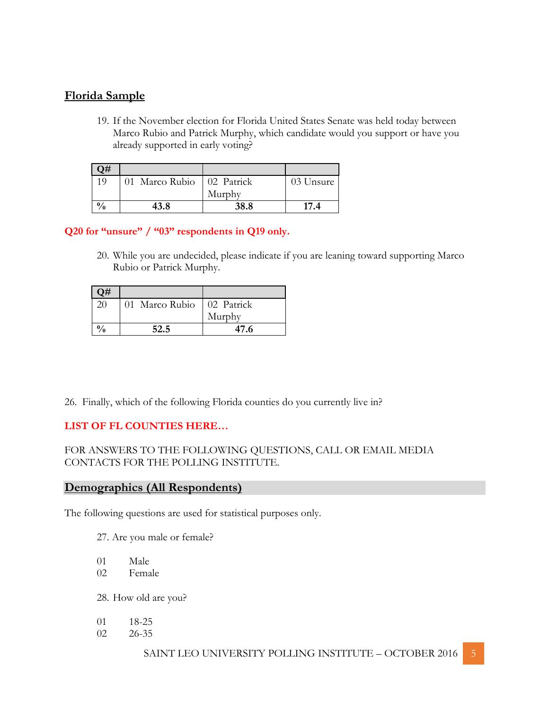# **Florida Sample**

19. If the November election for Florida United States Senate was held today between Marco Rubio and Patrick Murphy, which candidate would you support or have you already supported in early voting?

| Q#  |                |            |           |
|-----|----------------|------------|-----------|
| 10  | 01 Marco Rubio | 02 Patrick | 03 Unsure |
|     |                | Murphy     |           |
| 0/2 | 43.8           | 38.8       | 174       |

# **Q20 for "unsure" / "03" respondents in Q19 only.**

20. While you are undecided, please indicate if you are leaning toward supporting Marco Rubio or Patrick Murphy.

| $\neg$   |                |            |
|----------|----------------|------------|
| 20       | 01 Marco Rubio | 02 Patrick |
|          |                | Murphy     |
| $^{0/6}$ | 52.5           | 47.6       |

26. Finally, which of the following Florida counties do you currently live in?

# **LIST OF FL COUNTIES HERE…**

# FOR ANSWERS TO THE FOLLOWING QUESTIONS, CALL OR EMAIL MEDIA CONTACTS FOR THE POLLING INSTITUTE.

# **Demographics (All Respondents)**

The following questions are used for statistical purposes only.

- 27. Are you male or female?
- 01 Male
- 02 Female

28. How old are you?

- 01 18-25
- 02 26-35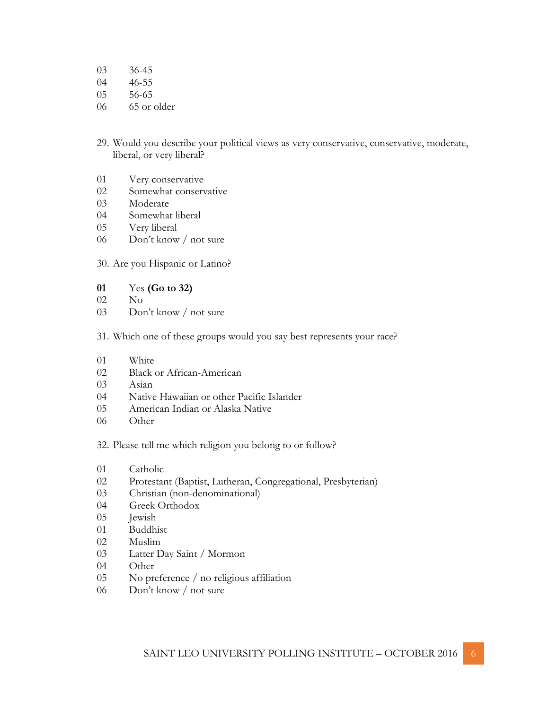36-45

- 46-55
- 56-65
- 65 or older
- 29. Would you describe your political views as very conservative, conservative, moderate, liberal, or very liberal?
- Very conservative
- Somewhat conservative
- Moderate
- Somewhat liberal
- Very liberal
- Don't know / not sure
- 30. Are you Hispanic or Latino?
- Yes **(Go to 32)**
- No
- Don't know / not sure
- 31. Which one of these groups would you say best represents your race?
- White
- Black or African-American
- Asian
- Native Hawaiian or other Pacific Islander
- American Indian or Alaska Native
- Other

32. Please tell me which religion you belong to or follow?

- 01 Catholic
- 02 Protestant (Baptist, Lutheran, Congregational, Presbyterian)
- 03 Christian (non-denominational)
- 04 Greek Orthodox
- 05 Jewish
- Buddhist
- Muslim
- Latter Day Saint / Mormon
- Other
- No preference / no religious affiliation
- Don't know / not sure